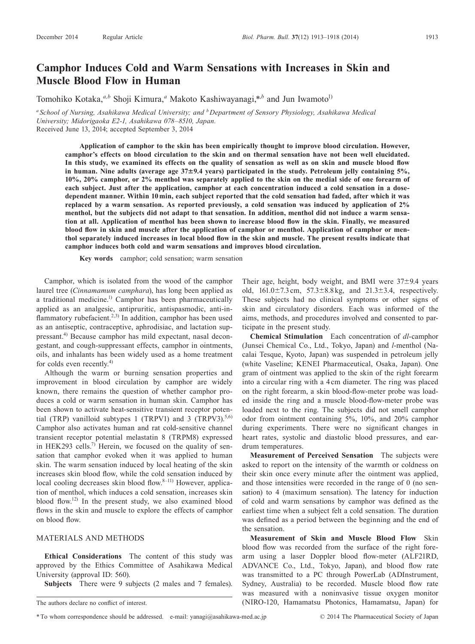# **Camphor Induces Cold and Warm Sensations with Increases in Skin and Muscle Blood Flow in Human**

Tomohiko Kotaka,<sup>*a,b*</sup> Shoji Kimura,<sup>*a*</sup> Makoto Kashiwayanagi,\**,b* and Jun Iwamoto<sup>1)</sup>

*<sup>a</sup> School of Nursing, Asahikawa Medical University; and bDepartment of Sensory Physiology, Asahikawa Medical University; Midorigaoka E2-1, Asahikawa 078–8510, Japan.* Received June 13, 2014; accepted September 3, 2014

**Application of camphor to the skin has been empirically thought to improve blood circulation. However, camphor's effects on blood circulation to the skin and on thermal sensation have not been well elucidated. In this study, we examined its effects on the quality of sensation as well as on skin and muscle blood flow in human. Nine adults (average age 37**±**9.4 years) participated in the study. Petroleum jelly containing 5%, 10%, 20% camphor, or 2% menthol was separately applied to the skin on the medial side of one forearm of each subject. Just after the application, camphor at each concentration induced a cold sensation in a dosedependent manner. Within 10 min, each subject reported that the cold sensation had faded, after which it was replaced by a warm sensation. As reported previously, a cold sensation was induced by application of 2% menthol, but the subjects did not adapt to that sensation. In addition, menthol did not induce a warm sensation at all. Application of menthol has been shown to increase blood flow in the skin. Finally, we measured blood flow in skin and muscle after the application of camphor or menthol. Application of camphor or menthol separately induced increases in local blood flow in the skin and muscle. The present results indicate that camphor induces both cold and warm sensations and improves blood circulation.**

**Key words** camphor; cold sensation; warm sensation

Camphor, which is isolated from the wood of the camphor laurel tree (*Cinnamamum camphara*), has long been applied as a traditional medicine.<sup>1)</sup> Camphor has been pharmaceutically applied as an analgesic, antipruritic, antispasmodic, anti-inflammatory rubefacient.<sup>2,3)</sup> In addition, camphor has been used as an antiseptic, contraceptive, aphrodisiac, and lactation suppressant.4) Because camphor has mild expectant, nasal decongestant, and cough-suppressant effects, camphor in ointments, oils, and inhalants has been widely used as a home treatment for colds even recently.<sup>4)</sup>

Although the warm or burning sensation properties and improvement in blood circulation by camphor are widely known, there remains the question of whether camphor produces a cold or warm sensation in human skin. Camphor has been shown to activate heat-sensitive transient receptor potential (TRP) vanilloid subtypes 1 (TRPV1) and 3 (TRPV3). $5,6$ ) Camphor also activates human and rat cold-sensitive channel transient receptor potential melastatin 8 (TRPM8) expressed in HEK293 cells.<sup>7)</sup> Herein, we focused on the quality of sensation that camphor evoked when it was applied to human skin. The warm sensation induced by local heating of the skin increases skin blood flow, while the cold sensation induced by local cooling decreases skin blood flow. $8-11$ ) However, application of menthol, which induces a cold sensation, increases skin blood flow.12) In the present study, we also examined blood flows in the skin and muscle to explore the effects of camphor on blood flow.

## MATERIALS AND METHODS

**Ethical Considerations** The content of this study was approved by the Ethics Committee of Asahikawa Medical University (approval ID: 560).

**Subjects** There were 9 subjects (2 males and 7 females).

Their age, height, body weight, and BMI were  $37\pm9.4$  years old,  $161.0 \pm 7.3 \text{ cm}$ ,  $57.3 \pm 8.8 \text{ kg}$ , and  $21.3 \pm 3.4$ , respectively. These subjects had no clinical symptoms or other signs of skin and circulatory disorders. Each was informed of the aims, methods, and procedures involved and consented to participate in the present study.

**Chemical Stimulation** Each concentration of *dl*-camphor (Junsei Chemical Co., Ltd., Tokyo, Japan) and *l*-menthol (Nacalai Tesque, Kyoto, Japan) was suspended in petroleum jelly (white Vaseline; KENEI Pharmaceutical, Osaka, Japan). One gram of ointment was applied to the skin of the right forearm into a circular ring with a 4 cm diameter. The ring was placed on the right forearm, a skin blood-flow-meter probe was loaded inside the ring and a muscle blood-flow-meter probe was loaded next to the ring. The subjects did not smell camphor odor from ointment containing 5%, 10%, and 20% camphor during experiments. There were no significant changes in heart rates, systolic and diastolic blood pressures, and eardrum temperatures.

**Measurement of Perceived Sensation** The subjects were asked to report on the intensity of the warmth or coldness on their skin once every minute after the ointment was applied, and those intensities were recorded in the range of 0 (no sensation) to 4 (maximum sensation). The latency for induction of cold and warm sensations by camphor was defined as the earliest time when a subject felt a cold sensation. The duration was defined as a period between the beginning and the end of the sensation.

**Measurement of Skin and Muscle Blood Flow** Skin blood flow was recorded from the surface of the right forearm using a laser Doppler blood flow-meter (ALF21RD, ADVANCE Co., Ltd., Tokyo, Japan), and blood flow rate was transmitted to a PC through PowerLab (ADInstrument, Sydney, Australia) to be recorded. Muscle blood flow rate was measured with a noninvasive tissue oxygen monitor (NIRO-120, Hamamatsu Photonics, Hamamatsu, Japan) for

The authors declare no conflict of interest.

<sup>\*</sup>To whom correspondence should be addressed. e-mail: yanagi@asahikawa-med.ac.jp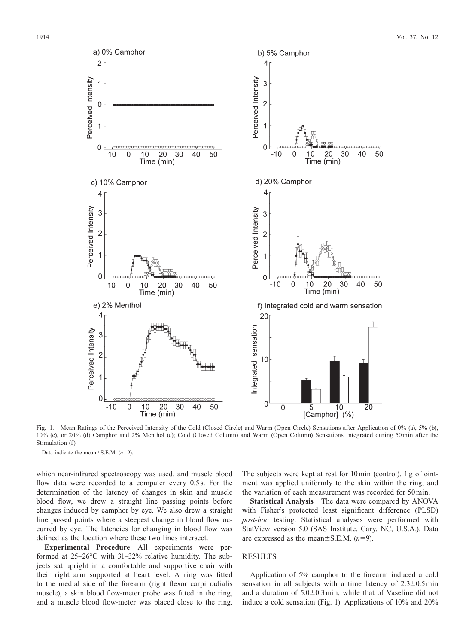

Fig. 1. Mean Ratings of the Perceived Intensity of the Cold (Closed Circle) and Warm (Open Circle) Sensations after Application of 0% (a), 5% (b), 10% (c), or 20% (d) Camphor and 2% Menthol (e); Cold (Closed Column) and Warm (Open Column) Sensations Integrated during 50 min after the Stimulation (f)

Data indicate the mean±S.E.M. (*n*=9).

which near-infrared spectroscopy was used, and muscle blood flow data were recorded to a computer every 0.5s. For the determination of the latency of changes in skin and muscle blood flow, we drew a straight line passing points before changes induced by camphor by eye. We also drew a straight line passed points where a steepest change in blood flow occurred by eye. The latencies for changing in blood flow was defined as the location where these two lines intersect.

**Experimental Procedure** All experiments were performed at 25–26°C with 31–32% relative humidity. The subjects sat upright in a comfortable and supportive chair with their right arm supported at heart level. A ring was fitted to the medial side of the forearm (right flexor carpi radialis muscle), a skin blood flow-meter probe was fitted in the ring, and a muscle blood flow-meter was placed close to the ring. The subjects were kept at rest for 10 min (control), 1 g of ointment was applied uniformly to the skin within the ring, and the variation of each measurement was recorded for 50 min.

**Statistical Analysis** The data were compared by ANOVA with Fisher's protected least significant difference (PLSD) *post-hoc* testing. Statistical analyses were performed with StatView version 5.0 (SAS Institute, Cary, NC, U.S.A.). Data are expressed as the mean±S.E.M. (*n*=9).

#### RESULTS

Application of 5% camphor to the forearm induced a cold sensation in all subjects with a time latency of  $2.3\pm0.5$  min and a duration of 5.0±0.3 min, while that of Vaseline did not induce a cold sensation (Fig. 1). Applications of 10% and 20%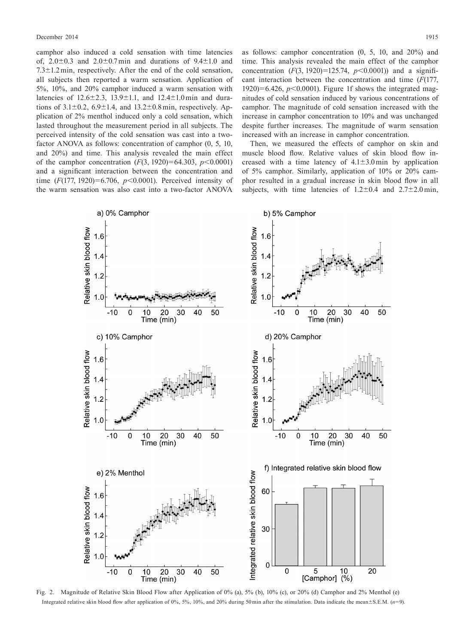camphor also induced a cold sensation with time latencies of,  $2.0\pm0.3$  and  $2.0\pm0.7$  min and durations of  $9.4\pm1.0$  and 7.3±1.2 min, respectively. After the end of the cold sensation, all subjects then reported a warm sensation. Application of 5%, 10%, and 20% camphor induced a warm sensation with latencies of  $12.6 \pm 2.3$ ,  $13.9 \pm 1.1$ , and  $12.4 \pm 1.0$  min and durations of  $3.1\pm0.2$ ,  $6.9\pm1.4$ , and  $13.2\pm0.8$  min, respectively. Application of 2% menthol induced only a cold sensation, which lasted throughout the measurement period in all subjects. The perceived intensity of the cold sensation was cast into a twofactor ANOVA as follows: concentration of camphor (0, 5, 10, and 20%) and time. This analysis revealed the main effect of the camphor concentration (*F*(3, 1920)=64.303, *p*<0.0001) and a significant interaction between the concentration and time (*F*(177, 1920)=6.706, *p*<0.0001). Perceived intensity of the warm sensation was also cast into a two-factor ANOVA

as follows: camphor concentration (0, 5, 10, and 20%) and time. This analysis revealed the main effect of the camphor concentration  $(F(3, 1920)=125.74, p<0.0001)$  and a significant interaction between the concentration and time (*F*(177, 1920)=6.426,  $p<0.0001$ ). Figure 1f shows the integrated magnitudes of cold sensation induced by various concentrations of camphor. The magnitude of cold sensation increased with the increase in camphor concentration to 10% and was unchanged despite further increases. The magnitude of warm sensation increased with an increase in camphor concentration.

Then, we measured the effects of camphor on skin and muscle blood flow. Relative values of skin blood flow increased with a time latency of  $4.1 \pm 3.0$  min by application of 5% camphor. Similarly, application of 10% or 20% camphor resulted in a gradual increase in skin blood flow in all subjects, with time latencies of  $1.2 \pm 0.4$  and  $2.7 \pm 2.0$  min,



Fig. 2. Magnitude of Relative Skin Blood Flow after Application of 0% (a), 5% (b), 10% (c), or 20% (d) Camphor and 2% Menthol (e) Integrated relative skin blood flow after application of 0%, 5%, 10%, and 20% during 50 min after the stimulation. Data indicate the mean±S.E.M. (*n*=9).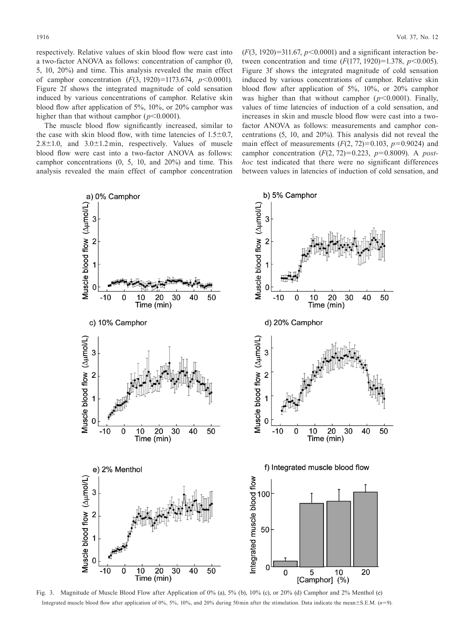respectively. Relative values of skin blood flow were cast into a two-factor ANOVA as follows: concentration of camphor (0, 5, 10, 20%) and time. This analysis revealed the main effect of camphor concentration (*F*(3, 1920)=1173.674, *p*<0.0001). Figure 2f shows the integrated magnitude of cold sensation induced by various concentrations of camphor. Relative skin blood flow after application of 5%, 10%, or 20% camphor was higher than that without camphor  $(p<0.0001)$ .

The muscle blood flow significantly increased, similar to the case with skin blood flow, with time latencies of  $1.5\pm0.7$ ,  $2.8 \pm 1.0$ , and  $3.0 \pm 1.2$  min, respectively. Values of muscle blood flow were cast into a two-factor ANOVA as follows: camphor concentrations (0, 5, 10, and 20%) and time. This analysis revealed the main effect of camphor concentration

 $(F(3, 1920)=311.67, p<0.0001)$  and a significant interaction between concentration and time (*F*(177, 1920)=1.378, *p*<0.005). Figure 3f shows the integrated magnitude of cold sensation induced by various concentrations of camphor. Relative skin blood flow after application of 5%, 10%, or 20% camphor was higher than that without camphor  $(p<0.0001)$ . Finally, values of time latencies of induction of a cold sensation, and increases in skin and muscle blood flow were cast into a twofactor ANOVA as follows: measurements and camphor concentrations (5, 10, and 20%). This analysis did not reveal the main effect of measurements  $(F(2, 72)=0.103, p=0.9024)$  and camphor concentration (*F*(2, 72)=0.223, *p*=0.8009). A *posthoc* test indicated that there were no significant differences between values in latencies of induction of cold sensation, and



Fig. 3. Magnitude of Muscle Blood Flow after Application of 0% (a), 5% (b), 10% (c), or 20% (d) Camphor and 2% Menthol (e) Integrated muscle blood flow after application of 0%, 5%, 10%, and 20% during 50 min after the stimulation. Data indicate the mean±S.E.M. (*n*=9).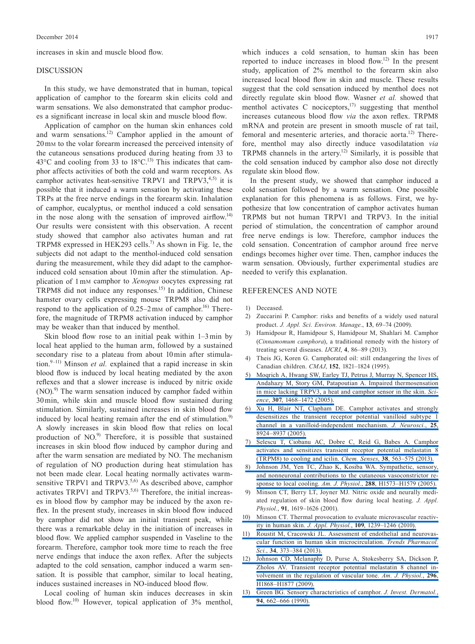increases in skin and muscle blood flow.

#### DISCUSSION

In this study, we have demonstrated that in human, topical application of camphor to the forearm skin elicits cold and warm sensations. We also demonstrated that camphor produces a significant increase in local skin and muscle blood flow.

Application of camphor on the human skin enhances cold and warm sensations.<sup>12)</sup> Camphor applied in the amount of 20 mM to the volar forearm increased the perceived intensity of the cutaneous sensations produced during heating from 33 to  $43^{\circ}$ C and cooling from 33 to  $18^{\circ}$ C.<sup>13)</sup> This indicates that camphor affects activities of both the cold and warm receptors. As camphor activates heat-sensitive TRPV1 and TRPV3, $4,5$  it is possible that it induced a warm sensation by activating these TRPs at the free nerve endings in the forearm skin. Inhalation of camphor, eucalyptus, or menthol induced a cold sensation in the nose along with the sensation of improved airflow.<sup>14)</sup> Our results were consistent with this observation. A recent study showed that camphor also activates human and rat TRPM8 expressed in HEK293 cells.7) As shown in Fig. 1e, the subjects did not adapt to the menthol-induced cold sensation during the measurement, while they did adapt to the camphorinduced cold sensation about 10 min after the stimulation. Application of 1 mM camphor to *Xenopus* oocytes expressing rat TRPM8 did not induce any responses.15) In addition, Chinese hamster ovary cells expressing mouse TRPM8 also did not respond to the application of  $0.25-2 \text{ mm}$  of camphor.<sup>16)</sup> Therefore, the magnitude of TRPM8 activation induced by camphor may be weaker than that induced by menthol.

Skin blood flow rose to an initial peak within 1–3 min by local heat applied to the human arm, followed by a sustained secondary rise to a plateau from about 10 min after stimulation.<sup>9–11)</sup> Minson *et al.* explained that a rapid increase in skin blood flow is induced by local heating mediated by the axon reflexes and that a slower increase is induced by nitric oxide (NO).<sup>9)</sup> The warm sensation induced by camphor faded within 30 min, while skin and muscle blood flow sustained during stimulation. Similarly, sustained increases in skin blood flow induced by local heating remain after the end of stimulation.<sup>9)</sup> A slowly increases in skin blood flow that relies on local production of NO.<sup>9)</sup> Therefore, it is possible that sustained increases in skin blood flow induced by camphor during and after the warm sensation are mediated by NO. The mechanism of regulation of NO production during heat stimulation has not been made clear. Local heating normally activates warmsensitive TRPV1 and TRPV3.<sup>5,6)</sup> As described above, camphor activates TRPV1 and TRPV3. $5,6$ ) Therefore, the initial increases in blood flow by camphor may be induced by the axon reflex. In the present study, increases in skin blood flow induced by camphor did not show an initial transient peak, while there was a remarkable delay in the initiation of increases in blood flow. We applied camphor suspended in Vaseline to the forearm. Therefore, camphor took more time to reach the free nerve endings that induce the axon reflex. After the subjects adapted to the cold sensation, camphor induced a warm sensation. It is possible that camphor, similar to local heating, induces sustained increases in NO-induced blood flow.

Local cooling of human skin induces decreases in skin blood flow.10) However, topical application of 3% menthol,

which induces a cold sensation, to human skin has been reported to induce increases in blood flow.12) In the present study, application of 2% menthol to the forearm skin also increased local blood flow in skin and muscle. These results suggest that the cold sensation induced by menthol does not directly regulate skin blood flow. Wasner *et al.* showed that menthol activates C nociceptors,<sup>17)</sup> suggesting that menthol increases cutaneous blood flow *via* the axon reflex. TRPM8 mRNA and protein are present in smooth muscle of rat tail, femoral and mesenteric arteries, and thoracic aorta.<sup>12)</sup> Therefore, menthol may also directly induce vasodilatation *via* TRPM8 channels in the artery.12) Similarly, it is possible that the cold sensation induced by camphor also dose not directly regulate skin blood flow.

In the present study, we showed that camphor induced a cold sensation followed by a warm sensation. One possible explanation for this phenomena is as follows. First, we hypothesize that low concentration of camphor activates human TRPM8 but not human TRPV1 and TRPV3. In the initial period of stimulation, the concentration of camphor around free nerve endings is low. Therefore, camphor induces the cold sensation. Concentration of camphor around free nerve endings becomes higher over time. Then, camphor induces the warm sensation. Obviously, further experimental studies are needed to verify this explanation.

### REFERENCES AND NOTE

- 1) Deceased.
- 2) Zuccarini P. Camphor: risks and benefits of a widely used natural product. *J. Appl. Sci. Environ. Manage.*, **13**, 69–74 (2009).
- 3) Hamidpour R, Hamidpour S, Hamidpour M, Shahlari M. Camphor (*Cinnamomum camphora*), a traditional remedy with the history of treating several diseases. *IJCRI*, **4**, 86–89 (2013).
- 4) Theis JG, Koren G. Camphorated oil: still endangering the lives of Canadian children. *CMAJ*, **152**, 1821–1824 (1995).
- [5\) Moqrich A, Hwang SW, Earley TJ, Petrus J, Murray N, Spencer HS,](http://dx.doi.org/10.1126/science.1108609)  [Andahazy M, Story GM, Patapoutian A. Impaired thermosensation](http://dx.doi.org/10.1126/science.1108609)  [in mice lacking TRPV3, a heat and camphor sensor in the skin.](http://dx.doi.org/10.1126/science.1108609) *Science*, **307**[, 1468–1472 \(2005\).](http://dx.doi.org/10.1126/science.1108609)
- [6\) Xu H, Blair NT, Clapham DE. Camphor activates and strongly](http://dx.doi.org/10.1523/JNEUROSCI.2574-05.2005)  [desensitizes the transient receptor potential vanilloid subtype 1](http://dx.doi.org/10.1523/JNEUROSCI.2574-05.2005)  [channel in a vanilloid-independent mechanism.](http://dx.doi.org/10.1523/JNEUROSCI.2574-05.2005) *J. Neurosci.*, **25**, [8924–8937 \(2005\).](http://dx.doi.org/10.1523/JNEUROSCI.2574-05.2005)
- [7\) Selescu T, Ciobanu AC, Dobre C, Reid G, Babes A. Camphor](http://dx.doi.org/10.1093/chemse/bjt027)  [activates and sensitizes transient receptor potential melastatin 8](http://dx.doi.org/10.1093/chemse/bjt027)  [\(TRPM8\) to cooling and icilin.](http://dx.doi.org/10.1093/chemse/bjt027) *Chem. Senses*, **38**, 563–575 (2013).
- [8\) Johnson JM, Yen TC, Zhao K, Kosiba WA. Sympathetic, sensory,](http://dx.doi.org/10.1152/ajpheart.00849.2004)  [and nonneuronal contributions to the cutaneous vasoconstrictor re](http://dx.doi.org/10.1152/ajpheart.00849.2004)[sponse to local cooling.](http://dx.doi.org/10.1152/ajpheart.00849.2004) *Am. J. Physiol.*, **288**, H1573–H1579 (2005).
- 9) Minson CT, Berry LT, Joyner MJ. Nitric oxide and neurally mediated regulation of skin blood flow during local heating. *J. Appl. Physiol.*, **91**, 1619–1626 (2001).
- [10\) Minson CT. Thermal provocation to evaluate microvascular reactiv](http://dx.doi.org/10.1152/japplphysiol.00414.2010)ity in human skin. *J. Appl. Physiol.*, **109**[, 1239–1246 \(2010\).](http://dx.doi.org/10.1152/japplphysiol.00414.2010)
- [11\) Roustit M, Cracowski JL. Assessment of endothelial and neurovas](http://dx.doi.org/10.1016/j.tips.2013.05.007)[cular function in human skin microcirculation.](http://dx.doi.org/10.1016/j.tips.2013.05.007) *Trends Pharmacol. Sci.*, **34**[, 373–384 \(2013\).](http://dx.doi.org/10.1016/j.tips.2013.05.007)
- [12\) Johnson CD, Melanaphy D, Purse A, Stokesberry SA, Dickson P,](http://dx.doi.org/10.1152/ajpheart.01112.2008)  [Zholos AV. Transient receptor potential melastatin 8 channel in](http://dx.doi.org/10.1152/ajpheart.01112.2008)[volvement in the regulation of vascular tone.](http://dx.doi.org/10.1152/ajpheart.01112.2008) *Am. J. Physiol.*, **296**, [H1868–H1877 \(2009\).](http://dx.doi.org/10.1152/ajpheart.01112.2008)
- [13\) Green BG. Sensory characteristics of camphor.](http://dx.doi.org/10.1111/1523-1747.ep12876242) *J. Invest. Dermatol.*, **94**[, 662–666 \(1990\).](http://dx.doi.org/10.1111/1523-1747.ep12876242)